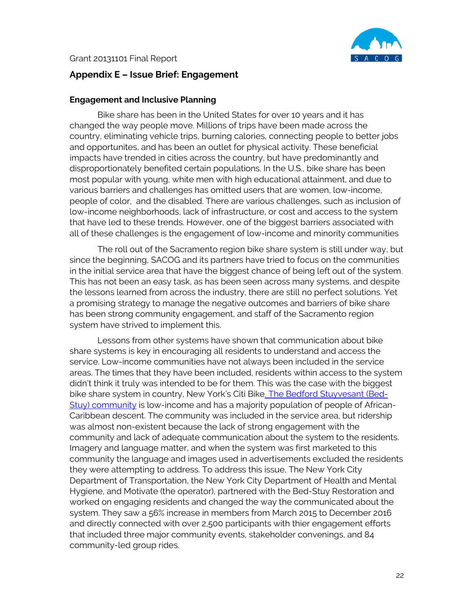

## **Appendix E – Issue Brief: Engagement**

## **Engagement and Inclusive Planning**

Bike share has been in the United States for over 10 years and it has changed the way people move. Millions of trips have been made across the country, eliminating vehicle trips, burning calories, connecting people to better jobs and opportunites, and has been an outlet for physical activity. These beneficial impacts have trended in cities across the country, but have predominantly and disproportionately benefited certain populations. In the U.S., bike share has been most popular with young, white men with high educational attainment, and due to various barriers and challenges has omitted users that are women, low-income, people of color, and the disabled. There are various challenges, such as inclusion of low-income neighborhoods, lack of infrastructure, or cost and access to the system that have led to these trends. However, one of the biggest barriers associated with all of these challenges is the engagement of low-income and minority communities

The roll out of the Sacramento region bike share system is still under way, but since the beginning, SACOG and its partners have tried to focus on the communities in the initial service area that have the biggest chance of being left out of the system. This has not been an easy task, as has been seen across many systems, and despite the lessons learned from across the industry, there are still no perfect solutions. Yet a promising strategy to manage the negative outcomes and barriers of bike share has been strong community engagement, and staff of the Sacramento region system have strived to implement this.

Lessons from other systems have shown that communication about bike share systems is key in encouraging all residents to understand and access the service. Low-income communities have not always been included in the service areas. The times that they have been included, residents within access to the system didn't think it truly was intended to be for them. This was the case with the biggest bike share system in country, New York's Citi Bik[e. The Bedford Stuyvesant \(Bed-](http://nycdotbikeshare.info/sites/default/files/2017-12/NACTO_BikeShareEquity_Report.pdf)[Stuy\) community](http://nycdotbikeshare.info/sites/default/files/2017-12/NACTO_BikeShareEquity_Report.pdf) is low-income and has a majority population of people of African-Caribbean descent. The community was included in the service area, but ridership was almost non-existent because the lack of strong engagement with the community and lack of adequate communication about the system to the residents. Imagery and language matter, and when the system was first marketed to this community the language and images used in advertisements excluded the residents they were attempting to address. To address this issue, The New York City Department of Transportation, the New York City Department of Health and Mental Hygiene, and Motivate (the operator), partnered with the Bed-Stuy Restoration and worked on engaging residents and changed the way the communicated about the system. They saw a 56% increase in members from March 2015 to December 2016 and directly connected with over 2,500 participants with thier engagement efforts that included three major community events, stakeholder convenings, and 84 community-led group rides.